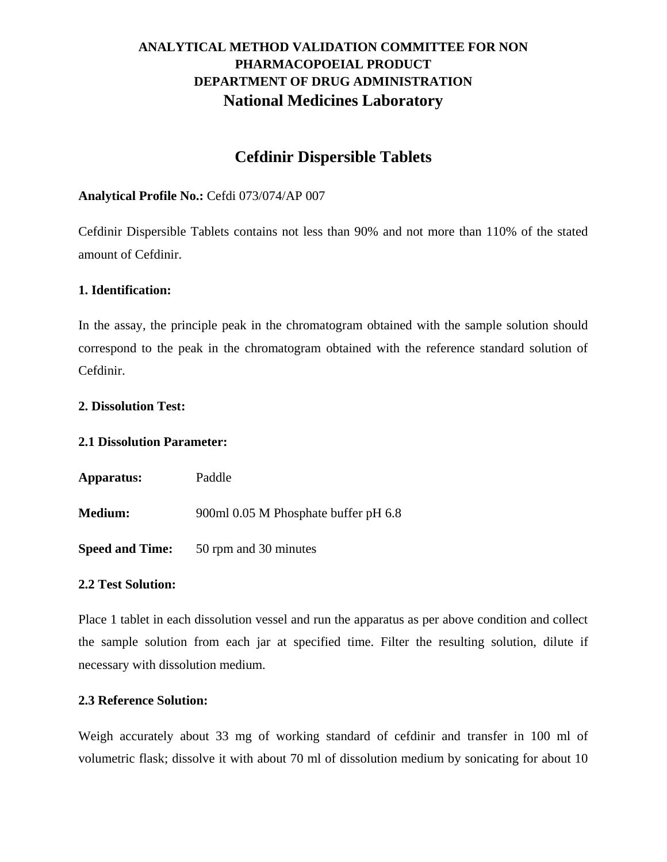# **Cefdinir Dispersible Tablets**

#### **Analytical Profile No.:** Cefdi 073/074/AP 007

Cefdinir Dispersible Tablets contains not less than 90% and not more than 110% of the stated amount of Cefdinir.

#### **1. Identification:**

In the assay, the principle peak in the chromatogram obtained with the sample solution should correspond to the peak in the chromatogram obtained with the reference standard solution of Cefdinir.

#### **2. Dissolution Test:**

#### **2.1 Dissolution Parameter:**

| Apparatus:     | Paddle                               |  |
|----------------|--------------------------------------|--|
| <b>Medium:</b> | 900ml 0.05 M Phosphate buffer pH 6.8 |  |

**Speed and Time:** 50 rpm and 30 minutes

#### **2.2 Test Solution:**

Place 1 tablet in each dissolution vessel and run the apparatus as per above condition and collect the sample solution from each jar at specified time. Filter the resulting solution, dilute if necessary with dissolution medium.

### **2.3 Reference Solution:**

Weigh accurately about 33 mg of working standard of cefdinir and transfer in 100 ml of volumetric flask; dissolve it with about 70 ml of dissolution medium by sonicating for about 10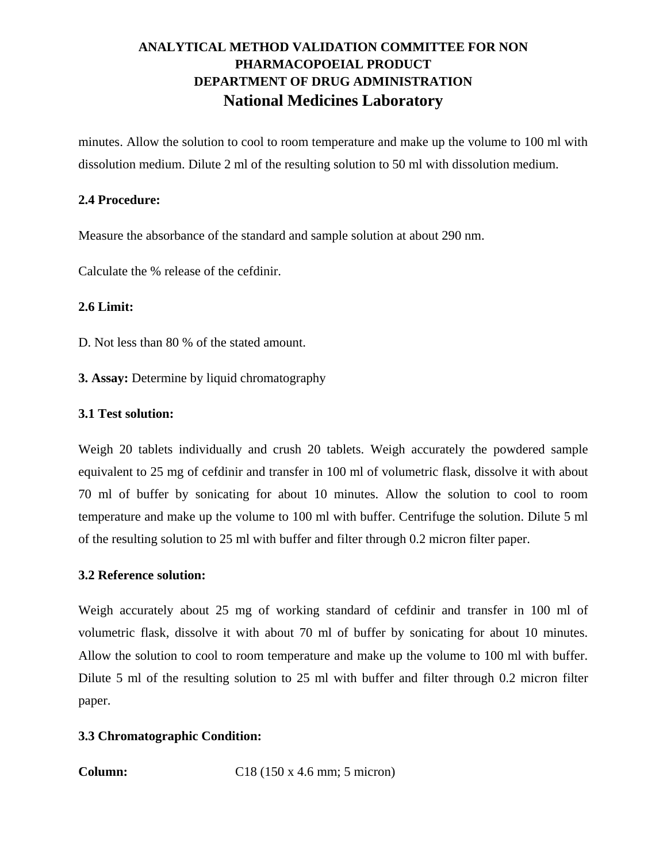minutes. Allow the solution to cool to room temperature and make up the volume to 100 ml with dissolution medium. Dilute 2 ml of the resulting solution to 50 ml with dissolution medium.

#### **2.4 Procedure:**

Measure the absorbance of the standard and sample solution at about 290 nm.

Calculate the % release of the cefdinir.

#### **2.6 Limit:**

D. Not less than 80 % of the stated amount.

**3. Assay:** Determine by liquid chromatography

#### **3.1 Test solution:**

Weigh 20 tablets individually and crush 20 tablets. Weigh accurately the powdered sample equivalent to 25 mg of cefdinir and transfer in 100 ml of volumetric flask, dissolve it with about 70 ml of buffer by sonicating for about 10 minutes. Allow the solution to cool to room temperature and make up the volume to 100 ml with buffer. Centrifuge the solution. Dilute 5 ml of the resulting solution to 25 ml with buffer and filter through 0.2 micron filter paper.

#### **3.2 Reference solution:**

Weigh accurately about 25 mg of working standard of cefdinir and transfer in 100 ml of volumetric flask, dissolve it with about 70 ml of buffer by sonicating for about 10 minutes. Allow the solution to cool to room temperature and make up the volume to 100 ml with buffer. Dilute 5 ml of the resulting solution to 25 ml with buffer and filter through 0.2 micron filter paper.

### **3.3 Chromatographic Condition:**

**Column:** C18 (150 x 4.6 mm; 5 micron)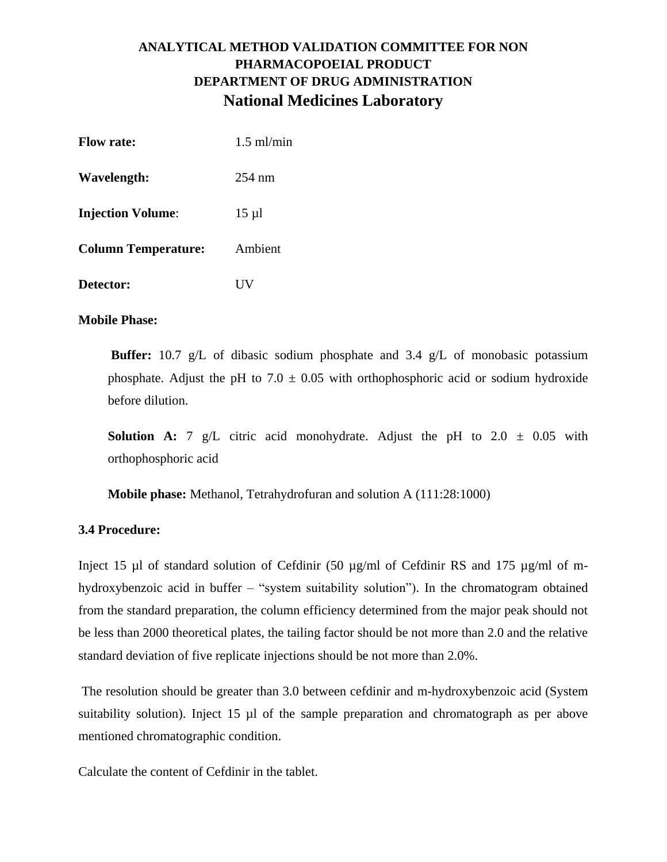| <b>Flow rate:</b>          | $1.5$ ml/min     |
|----------------------------|------------------|
| Wavelength:                | $254 \text{ nm}$ |
| <b>Injection Volume:</b>   | $15 \mu$ l       |
| <b>Column Temperature:</b> | Ambient          |
| Detector:                  |                  |

#### **Mobile Phase:**

**Buffer:** 10.7 g/L of dibasic sodium phosphate and 3.4 g/L of monobasic potassium phosphate. Adjust the pH to  $7.0 \pm 0.05$  with orthophosphoric acid or sodium hydroxide before dilution.

**Solution A:**  $7 \text{ g/L}$  citric acid monohydrate. Adjust the pH to  $2.0 \pm 0.05$  with orthophosphoric acid

**Mobile phase:** Methanol, Tetrahydrofuran and solution A (111:28:1000)

#### **3.4 Procedure:**

Inject 15 µl of standard solution of Cefdinir (50 µg/ml of Cefdinir RS and 175 µg/ml of mhydroxybenzoic acid in buffer – "system suitability solution"). In the chromatogram obtained from the standard preparation, the column efficiency determined from the major peak should not be less than 2000 theoretical plates, the tailing factor should be not more than 2.0 and the relative standard deviation of five replicate injections should be not more than 2.0%.

The resolution should be greater than 3.0 between cefdinir and m-hydroxybenzoic acid (System suitability solution). Inject 15 µl of the sample preparation and chromatograph as per above mentioned chromatographic condition.

Calculate the content of Cefdinir in the tablet.